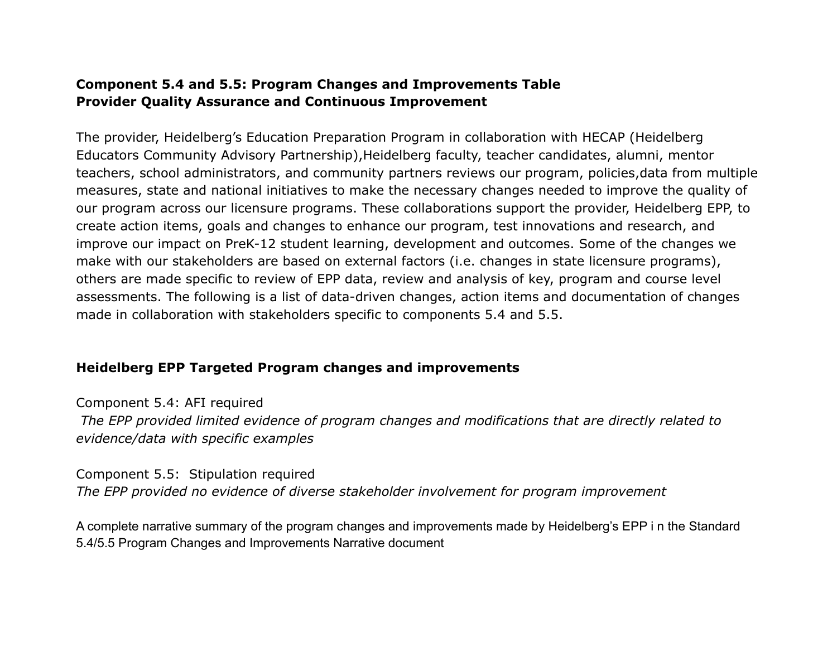## **Component 5.4 and 5.5: Program Changes and Improvements Table Provider Quality Assurance and Continuous Improvement**

The provider, Heidelberg's Education Preparation Program in collaboration with HECAP (Heidelberg Educators Community Advisory Partnership),Heidelberg faculty, teacher candidates, alumni, mentor teachers, school administrators, and community partners reviews our program, policies,data from multiple measures, state and national initiatives to make the necessary changes needed to improve the quality of our program across our licensure programs. These collaborations support the provider, Heidelberg EPP, to create action items, goals and changes to enhance our program, test innovations and research, and improve our impact on PreK-12 student learning, development and outcomes. Some of the changes we make with our stakeholders are based on external factors (i.e. changes in state licensure programs), others are made specific to review of EPP data, review and analysis of key, program and course level assessments. The following is a list of data-driven changes, action items and documentation of changes made in collaboration with stakeholders specific to components 5.4 and 5.5.

## **Heidelberg EPP Targeted Program changes and improvements**

Component 5.4: AFI required *The EPP provided limited evidence of program changes and modifications that are directly related to evidence/data with specific examples*

Component 5.5: Stipulation required *The EPP provided no evidence of diverse stakeholder involvement for program improvement*

A complete narrative summary of the program changes and improvements made by Heidelberg's EPP i n the Standard 5.4/5.5 Program Changes and Improvements Narrative document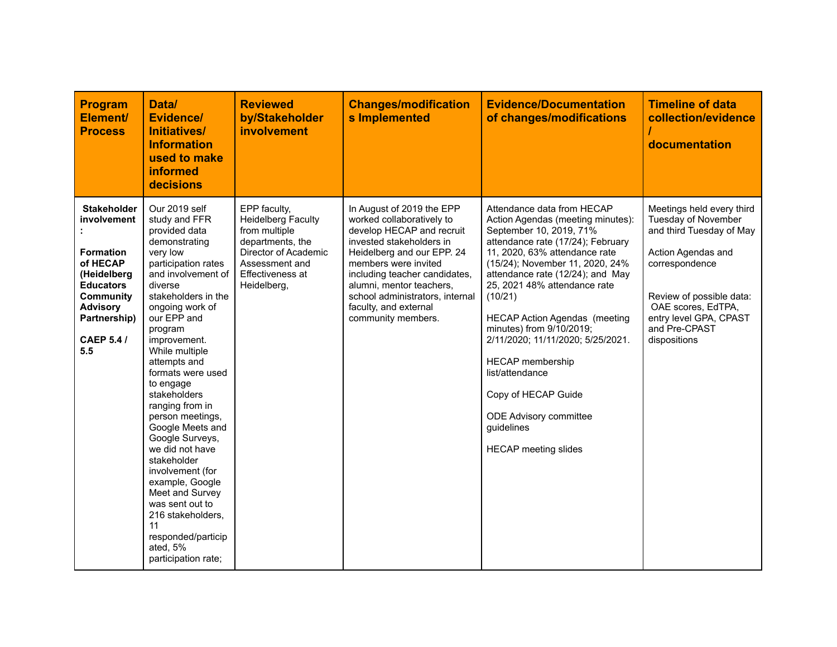| <b>Program</b><br>Element/<br><b>Process</b>                                                                                                                                            | Data/<br>Evidence/<br>Initiatives/<br><b>Information</b><br>used to make<br>informed<br>decisions                                                                                                                                                                                                                                                                                                                                                                                                                                                                                             | <b>Reviewed</b><br>by/Stakeholder<br>involvement                                                                                                            | <b>Changes/modification</b><br>s Implemented                                                                                                                                                                                                                                                                         | <b>Evidence/Documentation</b><br>of changes/modifications                                                                                                                                                                                                                                                                                                                                                                                                                                                                                      | <b>Timeline of data</b><br>collection/evidence<br>documentation                                                                                                                                                                   |
|-----------------------------------------------------------------------------------------------------------------------------------------------------------------------------------------|-----------------------------------------------------------------------------------------------------------------------------------------------------------------------------------------------------------------------------------------------------------------------------------------------------------------------------------------------------------------------------------------------------------------------------------------------------------------------------------------------------------------------------------------------------------------------------------------------|-------------------------------------------------------------------------------------------------------------------------------------------------------------|----------------------------------------------------------------------------------------------------------------------------------------------------------------------------------------------------------------------------------------------------------------------------------------------------------------------|------------------------------------------------------------------------------------------------------------------------------------------------------------------------------------------------------------------------------------------------------------------------------------------------------------------------------------------------------------------------------------------------------------------------------------------------------------------------------------------------------------------------------------------------|-----------------------------------------------------------------------------------------------------------------------------------------------------------------------------------------------------------------------------------|
| <b>Stakeholder</b><br>involvement<br><b>Formation</b><br>of HECAP<br>(Heidelberg<br><b>Educators</b><br><b>Community</b><br><b>Advisory</b><br>Partnership)<br><b>CAEP 5.4 /</b><br>5.5 | Our 2019 self<br>study and FFR<br>provided data<br>demonstrating<br>very low<br>participation rates<br>and involvement of<br>diverse<br>stakeholders in the<br>ongoing work of<br>our EPP and<br>program<br>improvement.<br>While multiple<br>attempts and<br>formats were used<br>to engage<br>stakeholders<br>ranging from in<br>person meetings,<br>Google Meets and<br>Google Surveys,<br>we did not have<br>stakeholder<br>involvement (for<br>example, Google<br>Meet and Survey<br>was sent out to<br>216 stakeholders,<br>11<br>responded/particip<br>ated, 5%<br>participation rate; | EPP faculty,<br><b>Heidelberg Faculty</b><br>from multiple<br>departments, the<br>Director of Academic<br>Assessment and<br>Effectiveness at<br>Heidelberg, | In August of 2019 the EPP<br>worked collaboratively to<br>develop HECAP and recruit<br>invested stakeholders in<br>Heidelberg and our EPP. 24<br>members were invited<br>including teacher candidates,<br>alumni, mentor teachers,<br>school administrators, internal<br>faculty, and external<br>community members. | Attendance data from HECAP<br>Action Agendas (meeting minutes):<br>September 10, 2019, 71%<br>attendance rate (17/24); February<br>11, 2020, 63% attendance rate<br>(15/24); November 11, 2020, 24%<br>attendance rate (12/24); and May<br>25, 2021 48% attendance rate<br>(10/21)<br><b>HECAP Action Agendas (meeting</b><br>minutes) from 9/10/2019;<br>2/11/2020; 11/11/2020; 5/25/2021.<br><b>HECAP</b> membership<br>list/attendance<br>Copy of HECAP Guide<br><b>ODE Advisory committee</b><br>guidelines<br><b>HECAP</b> meeting slides | Meetings held every third<br>Tuesday of November<br>and third Tuesday of May<br>Action Agendas and<br>correspondence<br>Review of possible data:<br>OAE scores, EdTPA,<br>entry level GPA, CPAST<br>and Pre-CPAST<br>dispositions |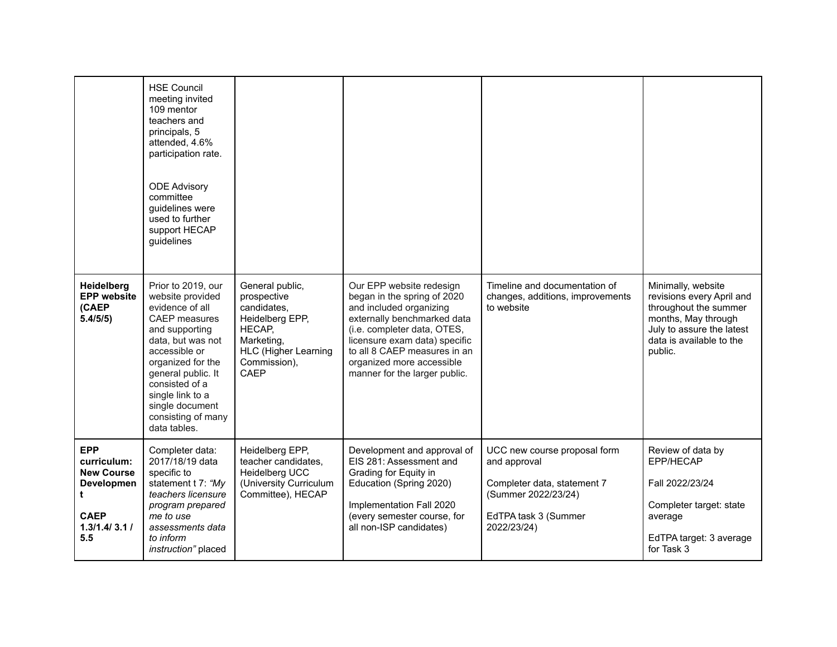|                                                                                                         | <b>HSE Council</b><br>meeting invited<br>109 mentor<br>teachers and<br>principals, 5<br>attended, 4.6%<br>participation rate.<br><b>ODE Advisory</b><br>committee<br>guidelines were<br>used to further<br>support HECAP<br>guidelines                                              |                                                                                                                                                 |                                                                                                                                                                                                                                                                                 |                                                                                                                                           |                                                                                                                                                                     |
|---------------------------------------------------------------------------------------------------------|-------------------------------------------------------------------------------------------------------------------------------------------------------------------------------------------------------------------------------------------------------------------------------------|-------------------------------------------------------------------------------------------------------------------------------------------------|---------------------------------------------------------------------------------------------------------------------------------------------------------------------------------------------------------------------------------------------------------------------------------|-------------------------------------------------------------------------------------------------------------------------------------------|---------------------------------------------------------------------------------------------------------------------------------------------------------------------|
| Heidelberg<br><b>EPP website</b><br>(CAEP<br>5.4/5/5)                                                   | Prior to 2019, our<br>website provided<br>evidence of all<br><b>CAEP</b> measures<br>and supporting<br>data, but was not<br>accessible or<br>organized for the<br>general public. It<br>consisted of a<br>single link to a<br>single document<br>consisting of many<br>data tables. | General public,<br>prospective<br>candidates.<br>Heidelberg EPP,<br>HECAP,<br>Marketing,<br><b>HLC (Higher Learning</b><br>Commission),<br>CAEP | Our EPP website redesign<br>began in the spring of 2020<br>and included organizing<br>externally benchmarked data<br>(i.e. completer data, OTES,<br>licensure exam data) specific<br>to all 8 CAEP measures in an<br>organized more accessible<br>manner for the larger public. | Timeline and documentation of<br>changes, additions, improvements<br>to website                                                           | Minimally, website<br>revisions every April and<br>throughout the summer<br>months, May through<br>July to assure the latest<br>data is available to the<br>public. |
| <b>EPP</b><br>curriculum:<br><b>New Course</b><br>Developmen<br>t<br><b>CAEP</b><br>1.3/1.4/3.1/<br>5.5 | Completer data:<br>2017/18/19 data<br>specific to<br>statement t 7: "My<br>teachers licensure<br>program prepared<br>me to use<br>assessments data<br>to inform<br>instruction" placed                                                                                              | Heidelberg EPP,<br>teacher candidates,<br>Heidelberg UCC<br>(University Curriculum<br>Committee), HECAP                                         | Development and approval of<br>EIS 281: Assessment and<br>Grading for Equity in<br>Education (Spring 2020)<br>Implementation Fall 2020<br>(every semester course, for<br>all non-ISP candidates)                                                                                | UCC new course proposal form<br>and approval<br>Completer data, statement 7<br>(Summer 2022/23/24)<br>EdTPA task 3 (Summer<br>2022/23/24) | Review of data by<br>EPP/HECAP<br>Fall 2022/23/24<br>Completer target: state<br>average<br>EdTPA target: 3 average<br>for Task 3                                    |